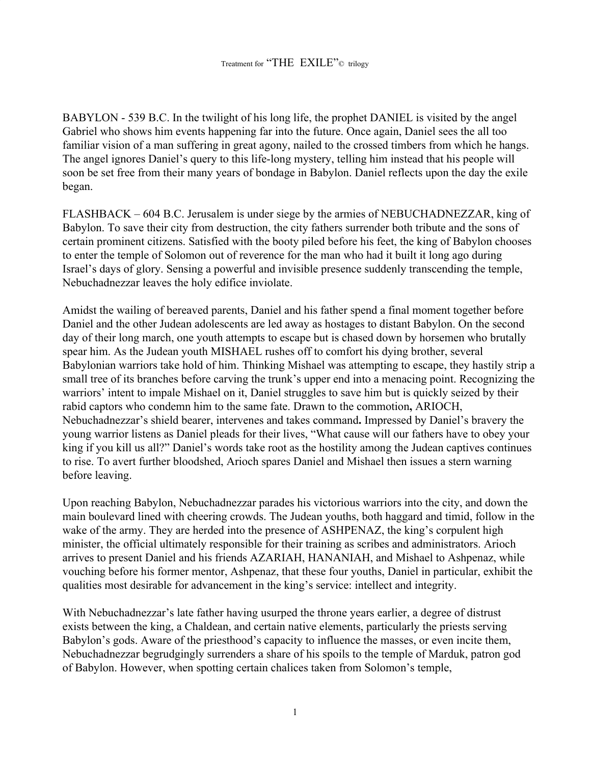BABYLON - 539 B.C. In the twilight of his long life, the prophet DANIEL is visited by the angel Gabriel who shows him events happening far into the future. Once again, Daniel sees the all too familiar vision of a man suffering in great agony, nailed to the crossed timbers from which he hangs. The angel ignores Daniel's query to this life-long mystery, telling him instead that his people will soon be set free from their many years of bondage in Babylon. Daniel reflects upon the day the exile began.

FLASHBACK – 604 B.C. Jerusalem is under siege by the armies of NEBUCHADNEZZAR, king of Babylon. To save their city from destruction, the city fathers surrender both tribute and the sons of certain prominent citizens. Satisfied with the booty piled before his feet, the king of Babylon chooses to enter the temple of Solomon out of reverence for the man who had it built it long ago during Israel's days of glory. Sensing a powerful and invisible presence suddenly transcending the temple, Nebuchadnezzar leaves the holy edifice inviolate.

Amidst the wailing of bereaved parents, Daniel and his father spend a final moment together before Daniel and the other Judean adolescents are led away as hostages to distant Babylon. On the second day of their long march, one youth attempts to escape but is chased down by horsemen who brutally spear him. As the Judean youth MISHAEL rushes off to comfort his dying brother, several Babylonian warriors take hold of him. Thinking Mishael was attempting to escape, they hastily strip a small tree of its branches before carving the trunk's upper end into a menacing point. Recognizing the warriors' intent to impale Mishael on it, Daniel struggles to save him but is quickly seized by their rabid captors who condemn him to the same fate. Drawn to the commotion**,** ARIOCH, Nebuchadnezzar's shield bearer, intervenes and takes command**.** Impressed by Daniel's bravery the young warrior listens as Daniel pleads for their lives, "What cause will our fathers have to obey your king if you kill us all?" Daniel's words take root as the hostility among the Judean captives continues to rise. To avert further bloodshed, Arioch spares Daniel and Mishael then issues a stern warning before leaving.

Upon reaching Babylon, Nebuchadnezzar parades his victorious warriors into the city, and down the main boulevard lined with cheering crowds. The Judean youths, both haggard and timid, follow in the wake of the army. They are herded into the presence of ASHPENAZ, the king's corpulent high minister, the official ultimately responsible for their training as scribes and administrators. Arioch arrives to present Daniel and his friends AZARIAH, HANANIAH, and Mishael to Ashpenaz, while vouching before his former mentor, Ashpenaz, that these four youths, Daniel in particular, exhibit the qualities most desirable for advancement in the king's service: intellect and integrity.

With Nebuchadnezzar's late father having usurped the throne years earlier, a degree of distrust exists between the king, a Chaldean, and certain native elements, particularly the priests serving Babylon's gods. Aware of the priesthood's capacity to influence the masses, or even incite them, Nebuchadnezzar begrudgingly surrenders a share of his spoils to the temple of Marduk, patron god of Babylon. However, when spotting certain chalices taken from Solomon's temple,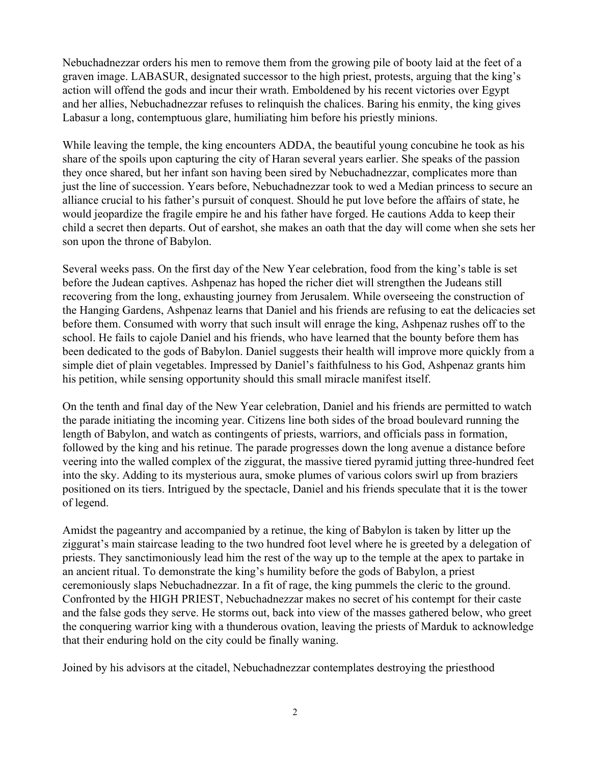Nebuchadnezzar orders his men to remove them from the growing pile of booty laid at the feet of a graven image. LABASUR, designated successor to the high priest, protests, arguing that the king's action will offend the gods and incur their wrath. Emboldened by his recent victories over Egypt and her allies, Nebuchadnezzar refuses to relinquish the chalices. Baring his enmity, the king gives Labasur a long, contemptuous glare, humiliating him before his priestly minions.

While leaving the temple, the king encounters ADDA, the beautiful young concubine he took as his share of the spoils upon capturing the city of Haran several years earlier. She speaks of the passion they once shared, but her infant son having been sired by Nebuchadnezzar, complicates more than just the line of succession. Years before, Nebuchadnezzar took to wed a Median princess to secure an alliance crucial to his father's pursuit of conquest. Should he put love before the affairs of state, he would jeopardize the fragile empire he and his father have forged. He cautions Adda to keep their child a secret then departs. Out of earshot, she makes an oath that the day will come when she sets her son upon the throne of Babylon.

Several weeks pass. On the first day of the New Year celebration, food from the king's table is set before the Judean captives. Ashpenaz has hoped the richer diet will strengthen the Judeans still recovering from the long, exhausting journey from Jerusalem. While overseeing the construction of the Hanging Gardens, Ashpenaz learns that Daniel and his friends are refusing to eat the delicacies set before them. Consumed with worry that such insult will enrage the king, Ashpenaz rushes off to the school. He fails to cajole Daniel and his friends, who have learned that the bounty before them has been dedicated to the gods of Babylon. Daniel suggests their health will improve more quickly from a simple diet of plain vegetables. Impressed by Daniel's faithfulness to his God, Ashpenaz grants him his petition, while sensing opportunity should this small miracle manifest itself.

On the tenth and final day of the New Year celebration, Daniel and his friends are permitted to watch the parade initiating the incoming year. Citizens line both sides of the broad boulevard running the length of Babylon, and watch as contingents of priests, warriors, and officials pass in formation, followed by the king and his retinue. The parade progresses down the long avenue a distance before veering into the walled complex of the ziggurat, the massive tiered pyramid jutting three-hundred feet into the sky. Adding to its mysterious aura, smoke plumes of various colors swirl up from braziers positioned on its tiers. Intrigued by the spectacle, Daniel and his friends speculate that it is the tower of legend.

Amidst the pageantry and accompanied by a retinue, the king of Babylon is taken by litter up the ziggurat's main staircase leading to the two hundred foot level where he is greeted by a delegation of priests. They sanctimoniously lead him the rest of the way up to the temple at the apex to partake in an ancient ritual. To demonstrate the king's humility before the gods of Babylon, a priest ceremoniously slaps Nebuchadnezzar. In a fit of rage, the king pummels the cleric to the ground. Confronted by the HIGH PRIEST, Nebuchadnezzar makes no secret of his contempt for their caste and the false gods they serve. He storms out, back into view of the masses gathered below, who greet the conquering warrior king with a thunderous ovation, leaving the priests of Marduk to acknowledge that their enduring hold on the city could be finally waning.

Joined by his advisors at the citadel, Nebuchadnezzar contemplates destroying the priesthood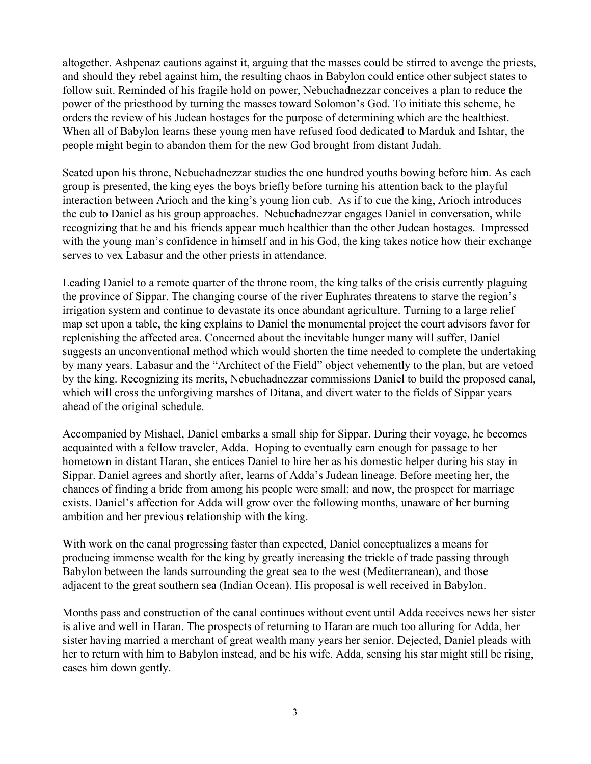altogether. Ashpenaz cautions against it, arguing that the masses could be stirred to avenge the priests, and should they rebel against him, the resulting chaos in Babylon could entice other subject states to follow suit. Reminded of his fragile hold on power, Nebuchadnezzar conceives a plan to reduce the power of the priesthood by turning the masses toward Solomon's God. To initiate this scheme, he orders the review of his Judean hostages for the purpose of determining which are the healthiest. When all of Babylon learns these young men have refused food dedicated to Marduk and Ishtar, the people might begin to abandon them for the new God brought from distant Judah.

Seated upon his throne, Nebuchadnezzar studies the one hundred youths bowing before him. As each group is presented, the king eyes the boys briefly before turning his attention back to the playful interaction between Arioch and the king's young lion cub. As if to cue the king, Arioch introduces the cub to Daniel as his group approaches. Nebuchadnezzar engages Daniel in conversation, while recognizing that he and his friends appear much healthier than the other Judean hostages. Impressed with the young man's confidence in himself and in his God, the king takes notice how their exchange serves to vex Labasur and the other priests in attendance.

Leading Daniel to a remote quarter of the throne room, the king talks of the crisis currently plaguing the province of Sippar. The changing course of the river Euphrates threatens to starve the region's irrigation system and continue to devastate its once abundant agriculture. Turning to a large relief map set upon a table, the king explains to Daniel the monumental project the court advisors favor for replenishing the affected area. Concerned about the inevitable hunger many will suffer, Daniel suggests an unconventional method which would shorten the time needed to complete the undertaking by many years. Labasur and the "Architect of the Field" object vehemently to the plan, but are vetoed by the king. Recognizing its merits, Nebuchadnezzar commissions Daniel to build the proposed canal, which will cross the unforgiving marshes of Ditana, and divert water to the fields of Sippar years ahead of the original schedule.

Accompanied by Mishael, Daniel embarks a small ship for Sippar. During their voyage, he becomes acquainted with a fellow traveler, Adda. Hoping to eventually earn enough for passage to her hometown in distant Haran, she entices Daniel to hire her as his domestic helper during his stay in Sippar. Daniel agrees and shortly after, learns of Adda's Judean lineage. Before meeting her, the chances of finding a bride from among his people were small; and now, the prospect for marriage exists. Daniel's affection for Adda will grow over the following months, unaware of her burning ambition and her previous relationship with the king.

With work on the canal progressing faster than expected, Daniel conceptualizes a means for producing immense wealth for the king by greatly increasing the trickle of trade passing through Babylon between the lands surrounding the great sea to the west (Mediterranean), and those adjacent to the great southern sea (Indian Ocean). His proposal is well received in Babylon.

Months pass and construction of the canal continues without event until Adda receives news her sister is alive and well in Haran. The prospects of returning to Haran are much too alluring for Adda, her sister having married a merchant of great wealth many years her senior. Dejected, Daniel pleads with her to return with him to Babylon instead, and be his wife. Adda, sensing his star might still be rising, eases him down gently.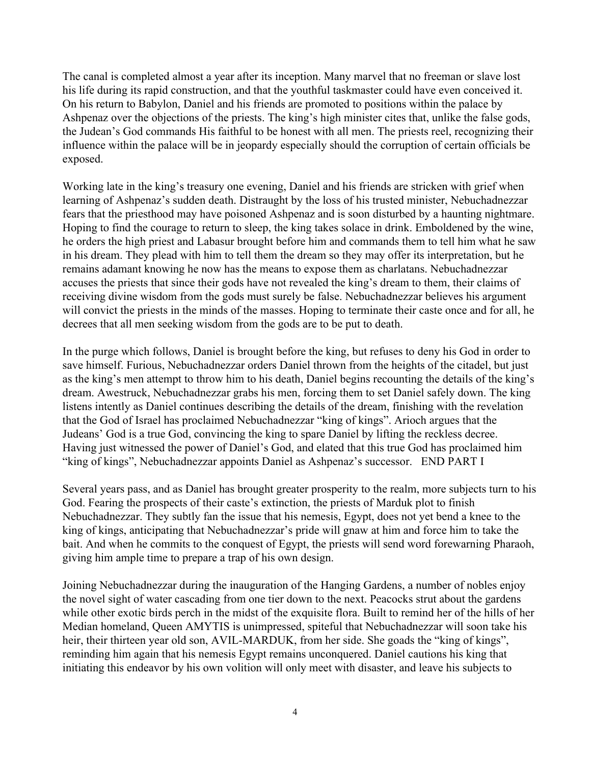The canal is completed almost a year after its inception. Many marvel that no freeman or slave lost his life during its rapid construction, and that the youthful taskmaster could have even conceived it. On his return to Babylon, Daniel and his friends are promoted to positions within the palace by Ashpenaz over the objections of the priests. The king's high minister cites that, unlike the false gods, the Judean's God commands His faithful to be honest with all men. The priests reel, recognizing their influence within the palace will be in jeopardy especially should the corruption of certain officials be exposed.

Working late in the king's treasury one evening, Daniel and his friends are stricken with grief when learning of Ashpenaz's sudden death. Distraught by the loss of his trusted minister, Nebuchadnezzar fears that the priesthood may have poisoned Ashpenaz and is soon disturbed by a haunting nightmare. Hoping to find the courage to return to sleep, the king takes solace in drink. Emboldened by the wine, he orders the high priest and Labasur brought before him and commands them to tell him what he saw in his dream. They plead with him to tell them the dream so they may offer its interpretation, but he remains adamant knowing he now has the means to expose them as charlatans. Nebuchadnezzar accuses the priests that since their gods have not revealed the king's dream to them, their claims of receiving divine wisdom from the gods must surely be false. Nebuchadnezzar believes his argument will convict the priests in the minds of the masses. Hoping to terminate their caste once and for all, he decrees that all men seeking wisdom from the gods are to be put to death.

In the purge which follows, Daniel is brought before the king, but refuses to deny his God in order to save himself. Furious, Nebuchadnezzar orders Daniel thrown from the heights of the citadel, but just as the king's men attempt to throw him to his death, Daniel begins recounting the details of the king's dream. Awestruck, Nebuchadnezzar grabs his men, forcing them to set Daniel safely down. The king listens intently as Daniel continues describing the details of the dream, finishing with the revelation that the God of Israel has proclaimed Nebuchadnezzar "king of kings". Arioch argues that the Judeans' God is a true God, convincing the king to spare Daniel by lifting the reckless decree. Having just witnessed the power of Daniel's God, and elated that this true God has proclaimed him "king of kings", Nebuchadnezzar appoints Daniel as Ashpenaz's successor. END PART I

Several years pass, and as Daniel has brought greater prosperity to the realm, more subjects turn to his God. Fearing the prospects of their caste's extinction, the priests of Marduk plot to finish Nebuchadnezzar. They subtly fan the issue that his nemesis, Egypt, does not yet bend a knee to the king of kings, anticipating that Nebuchadnezzar's pride will gnaw at him and force him to take the bait. And when he commits to the conquest of Egypt, the priests will send word forewarning Pharaoh, giving him ample time to prepare a trap of his own design.

Joining Nebuchadnezzar during the inauguration of the Hanging Gardens, a number of nobles enjoy the novel sight of water cascading from one tier down to the next. Peacocks strut about the gardens while other exotic birds perch in the midst of the exquisite flora. Built to remind her of the hills of her Median homeland, Queen AMYTIS is unimpressed, spiteful that Nebuchadnezzar will soon take his heir, their thirteen year old son, AVIL-MARDUK, from her side. She goads the "king of kings", reminding him again that his nemesis Egypt remains unconquered. Daniel cautions his king that initiating this endeavor by his own volition will only meet with disaster, and leave his subjects to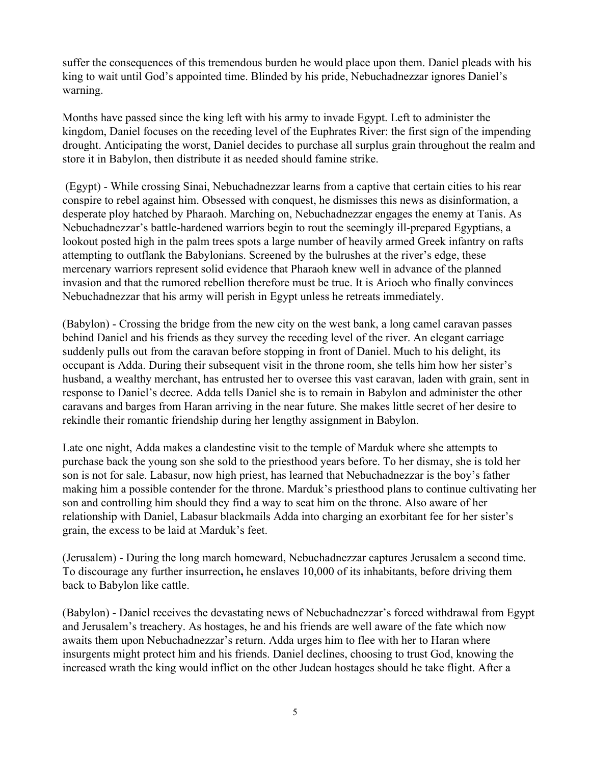suffer the consequences of this tremendous burden he would place upon them. Daniel pleads with his king to wait until God's appointed time. Blinded by his pride, Nebuchadnezzar ignores Daniel's warning.

Months have passed since the king left with his army to invade Egypt. Left to administer the kingdom, Daniel focuses on the receding level of the Euphrates River: the first sign of the impending drought. Anticipating the worst, Daniel decides to purchase all surplus grain throughout the realm and store it in Babylon, then distribute it as needed should famine strike.

 (Egypt) - While crossing Sinai, Nebuchadnezzar learns from a captive that certain cities to his rear conspire to rebel against him. Obsessed with conquest, he dismisses this news as disinformation, a desperate ploy hatched by Pharaoh. Marching on, Nebuchadnezzar engages the enemy at Tanis. As Nebuchadnezzar's battle-hardened warriors begin to rout the seemingly ill-prepared Egyptians, a lookout posted high in the palm trees spots a large number of heavily armed Greek infantry on rafts attempting to outflank the Babylonians. Screened by the bulrushes at the river's edge, these mercenary warriors represent solid evidence that Pharaoh knew well in advance of the planned invasion and that the rumored rebellion therefore must be true. It is Arioch who finally convinces Nebuchadnezzar that his army will perish in Egypt unless he retreats immediately.

(Babylon) - Crossing the bridge from the new city on the west bank, a long camel caravan passes behind Daniel and his friends as they survey the receding level of the river. An elegant carriage suddenly pulls out from the caravan before stopping in front of Daniel. Much to his delight, its occupant is Adda. During their subsequent visit in the throne room, she tells him how her sister's husband, a wealthy merchant, has entrusted her to oversee this vast caravan, laden with grain, sent in response to Daniel's decree. Adda tells Daniel she is to remain in Babylon and administer the other caravans and barges from Haran arriving in the near future. She makes little secret of her desire to rekindle their romantic friendship during her lengthy assignment in Babylon.

Late one night, Adda makes a clandestine visit to the temple of Marduk where she attempts to purchase back the young son she sold to the priesthood years before. To her dismay, she is told her son is not for sale. Labasur, now high priest, has learned that Nebuchadnezzar is the boy's father making him a possible contender for the throne. Marduk's priesthood plans to continue cultivating her son and controlling him should they find a way to seat him on the throne. Also aware of her relationship with Daniel, Labasur blackmails Adda into charging an exorbitant fee for her sister's grain, the excess to be laid at Marduk's feet.

(Jerusalem) - During the long march homeward, Nebuchadnezzar captures Jerusalem a second time. To discourage any further insurrection**,** he enslaves 10,000 of its inhabitants, before driving them back to Babylon like cattle.

(Babylon) - Daniel receives the devastating news of Nebuchadnezzar's forced withdrawal from Egypt and Jerusalem's treachery. As hostages, he and his friends are well aware of the fate which now awaits them upon Nebuchadnezzar's return. Adda urges him to flee with her to Haran where insurgents might protect him and his friends. Daniel declines, choosing to trust God, knowing the increased wrath the king would inflict on the other Judean hostages should he take flight. After a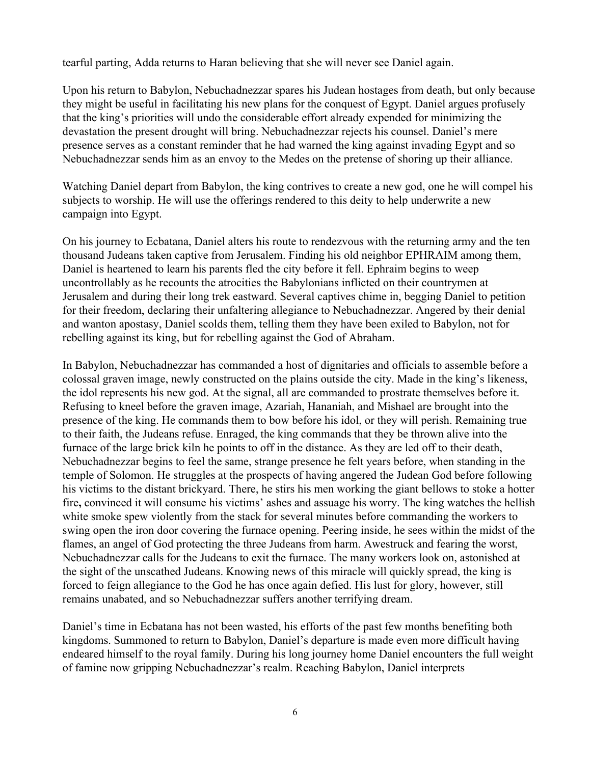tearful parting, Adda returns to Haran believing that she will never see Daniel again.

Upon his return to Babylon, Nebuchadnezzar spares his Judean hostages from death, but only because they might be useful in facilitating his new plans for the conquest of Egypt. Daniel argues profusely that the king's priorities will undo the considerable effort already expended for minimizing the devastation the present drought will bring. Nebuchadnezzar rejects his counsel. Daniel's mere presence serves as a constant reminder that he had warned the king against invading Egypt and so Nebuchadnezzar sends him as an envoy to the Medes on the pretense of shoring up their alliance.

Watching Daniel depart from Babylon, the king contrives to create a new god, one he will compel his subjects to worship. He will use the offerings rendered to this deity to help underwrite a new campaign into Egypt.

On his journey to Ecbatana, Daniel alters his route to rendezvous with the returning army and the ten thousand Judeans taken captive from Jerusalem. Finding his old neighbor EPHRAIM among them, Daniel is heartened to learn his parents fled the city before it fell. Ephraim begins to weep uncontrollably as he recounts the atrocities the Babylonians inflicted on their countrymen at Jerusalem and during their long trek eastward. Several captives chime in, begging Daniel to petition for their freedom, declaring their unfaltering allegiance to Nebuchadnezzar. Angered by their denial and wanton apostasy, Daniel scolds them, telling them they have been exiled to Babylon, not for rebelling against its king, but for rebelling against the God of Abraham.

In Babylon, Nebuchadnezzar has commanded a host of dignitaries and officials to assemble before a colossal graven image, newly constructed on the plains outside the city. Made in the king's likeness, the idol represents his new god. At the signal, all are commanded to prostrate themselves before it. Refusing to kneel before the graven image, Azariah, Hananiah, and Mishael are brought into the presence of the king. He commands them to bow before his idol, or they will perish. Remaining true to their faith, the Judeans refuse. Enraged, the king commands that they be thrown alive into the furnace of the large brick kiln he points to off in the distance. As they are led off to their death, Nebuchadnezzar begins to feel the same, strange presence he felt years before, when standing in the temple of Solomon. He struggles at the prospects of having angered the Judean God before following his victims to the distant brickyard. There, he stirs his men working the giant bellows to stoke a hotter fire**,** convinced it will consume his victims' ashes and assuage his worry. The king watches the hellish white smoke spew violently from the stack for several minutes before commanding the workers to swing open the iron door covering the furnace opening. Peering inside, he sees within the midst of the flames, an angel of God protecting the three Judeans from harm. Awestruck and fearing the worst, Nebuchadnezzar calls for the Judeans to exit the furnace. The many workers look on, astonished at the sight of the unscathed Judeans. Knowing news of this miracle will quickly spread, the king is forced to feign allegiance to the God he has once again defied. His lust for glory, however, still remains unabated, and so Nebuchadnezzar suffers another terrifying dream.

Daniel's time in Ecbatana has not been wasted, his efforts of the past few months benefiting both kingdoms. Summoned to return to Babylon, Daniel's departure is made even more difficult having endeared himself to the royal family. During his long journey home Daniel encounters the full weight of famine now gripping Nebuchadnezzar's realm. Reaching Babylon, Daniel interprets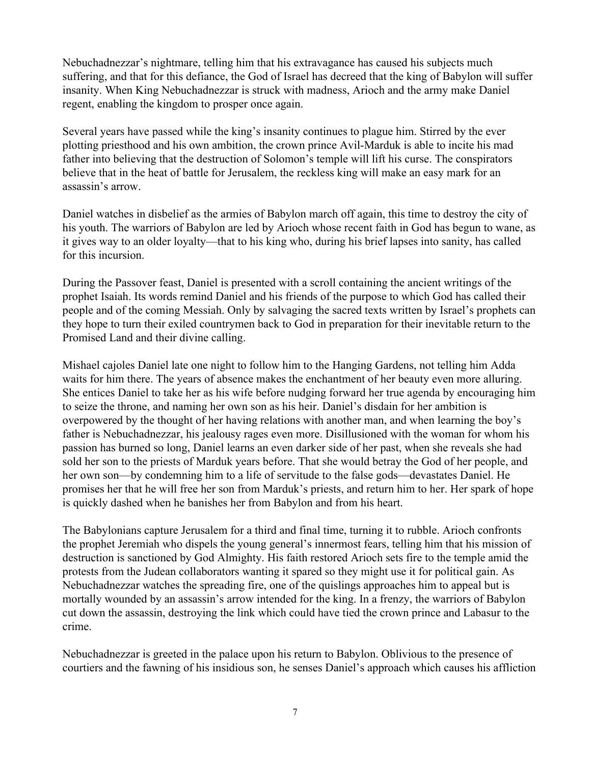Nebuchadnezzar's nightmare, telling him that his extravagance has caused his subjects much suffering, and that for this defiance, the God of Israel has decreed that the king of Babylon will suffer insanity. When King Nebuchadnezzar is struck with madness, Arioch and the army make Daniel regent, enabling the kingdom to prosper once again.

Several years have passed while the king's insanity continues to plague him. Stirred by the ever plotting priesthood and his own ambition, the crown prince Avil-Marduk is able to incite his mad father into believing that the destruction of Solomon's temple will lift his curse. The conspirators believe that in the heat of battle for Jerusalem, the reckless king will make an easy mark for an assassin's arrow.

Daniel watches in disbelief as the armies of Babylon march off again, this time to destroy the city of his youth. The warriors of Babylon are led by Arioch whose recent faith in God has begun to wane, as it gives way to an older loyalty—that to his king who, during his brief lapses into sanity, has called for this incursion.

During the Passover feast, Daniel is presented with a scroll containing the ancient writings of the prophet Isaiah. Its words remind Daniel and his friends of the purpose to which God has called their people and of the coming Messiah. Only by salvaging the sacred texts written by Israel's prophets can they hope to turn their exiled countrymen back to God in preparation for their inevitable return to the Promised Land and their divine calling.

Mishael cajoles Daniel late one night to follow him to the Hanging Gardens, not telling him Adda waits for him there. The years of absence makes the enchantment of her beauty even more alluring. She entices Daniel to take her as his wife before nudging forward her true agenda by encouraging him to seize the throne, and naming her own son as his heir. Daniel's disdain for her ambition is overpowered by the thought of her having relations with another man, and when learning the boy's father is Nebuchadnezzar, his jealousy rages even more. Disillusioned with the woman for whom his passion has burned so long, Daniel learns an even darker side of her past, when she reveals she had sold her son to the priests of Marduk years before. That she would betray the God of her people, and her own son—by condemning him to a life of servitude to the false gods—devastates Daniel. He promises her that he will free her son from Marduk's priests, and return him to her. Her spark of hope is quickly dashed when he banishes her from Babylon and from his heart.

The Babylonians capture Jerusalem for a third and final time, turning it to rubble. Arioch confronts the prophet Jeremiah who dispels the young general's innermost fears, telling him that his mission of destruction is sanctioned by God Almighty. His faith restored Arioch sets fire to the temple amid the protests from the Judean collaborators wanting it spared so they might use it for political gain. As Nebuchadnezzar watches the spreading fire, one of the quislings approaches him to appeal but is mortally wounded by an assassin's arrow intended for the king. In a frenzy, the warriors of Babylon cut down the assassin, destroying the link which could have tied the crown prince and Labasur to the crime.

Nebuchadnezzar is greeted in the palace upon his return to Babylon. Oblivious to the presence of courtiers and the fawning of his insidious son, he senses Daniel's approach which causes his affliction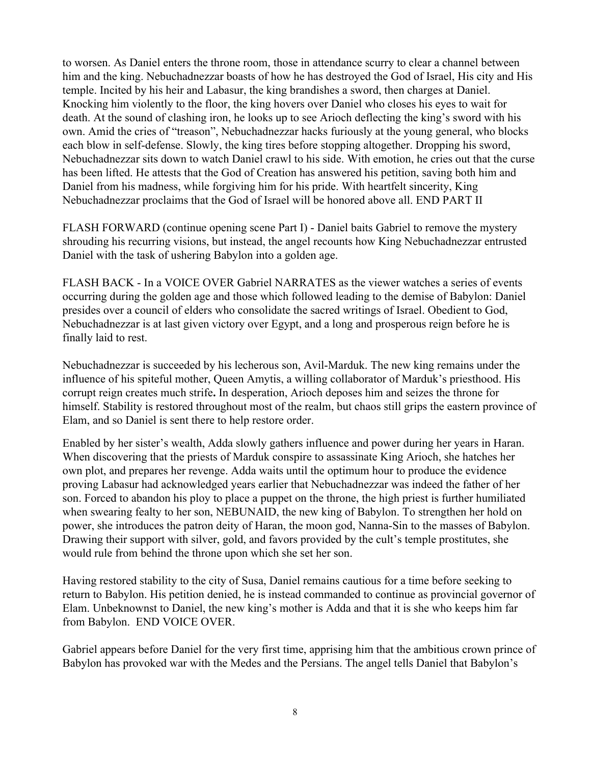to worsen. As Daniel enters the throne room, those in attendance scurry to clear a channel between him and the king. Nebuchadnezzar boasts of how he has destroyed the God of Israel, His city and His temple. Incited by his heir and Labasur, the king brandishes a sword, then charges at Daniel. Knocking him violently to the floor, the king hovers over Daniel who closes his eyes to wait for death. At the sound of clashing iron, he looks up to see Arioch deflecting the king's sword with his own. Amid the cries of "treason", Nebuchadnezzar hacks furiously at the young general, who blocks each blow in self-defense. Slowly, the king tires before stopping altogether. Dropping his sword, Nebuchadnezzar sits down to watch Daniel crawl to his side. With emotion, he cries out that the curse has been lifted. He attests that the God of Creation has answered his petition, saving both him and Daniel from his madness, while forgiving him for his pride. With heartfelt sincerity, King Nebuchadnezzar proclaims that the God of Israel will be honored above all. END PART II

FLASH FORWARD (continue opening scene Part I) - Daniel baits Gabriel to remove the mystery shrouding his recurring visions, but instead, the angel recounts how King Nebuchadnezzar entrusted Daniel with the task of ushering Babylon into a golden age.

FLASH BACK - In a VOICE OVER Gabriel NARRATES as the viewer watches a series of events occurring during the golden age and those which followed leading to the demise of Babylon: Daniel presides over a council of elders who consolidate the sacred writings of Israel. Obedient to God, Nebuchadnezzar is at last given victory over Egypt, and a long and prosperous reign before he is finally laid to rest.

Nebuchadnezzar is succeeded by his lecherous son, Avil-Marduk. The new king remains under the influence of his spiteful mother, Queen Amytis, a willing collaborator of Marduk's priesthood. His corrupt reign creates much strife**.** In desperation, Arioch deposes him and seizes the throne for himself. Stability is restored throughout most of the realm, but chaos still grips the eastern province of Elam, and so Daniel is sent there to help restore order.

Enabled by her sister's wealth, Adda slowly gathers influence and power during her years in Haran. When discovering that the priests of Marduk conspire to assassinate King Arioch, she hatches her own plot, and prepares her revenge. Adda waits until the optimum hour to produce the evidence proving Labasur had acknowledged years earlier that Nebuchadnezzar was indeed the father of her son. Forced to abandon his ploy to place a puppet on the throne, the high priest is further humiliated when swearing fealty to her son, NEBUNAID, the new king of Babylon. To strengthen her hold on power, she introduces the patron deity of Haran, the moon god, Nanna-Sin to the masses of Babylon. Drawing their support with silver, gold, and favors provided by the cult's temple prostitutes, she would rule from behind the throne upon which she set her son.

Having restored stability to the city of Susa, Daniel remains cautious for a time before seeking to return to Babylon. His petition denied, he is instead commanded to continue as provincial governor of Elam. Unbeknownst to Daniel, the new king's mother is Adda and that it is she who keeps him far from Babylon. END VOICE OVER.

Gabriel appears before Daniel for the very first time, apprising him that the ambitious crown prince of Babylon has provoked war with the Medes and the Persians. The angel tells Daniel that Babylon's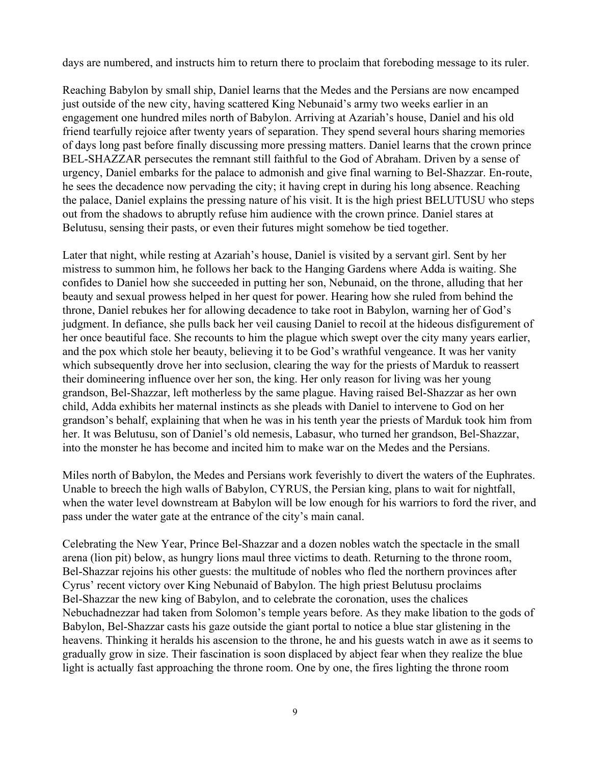days are numbered, and instructs him to return there to proclaim that foreboding message to its ruler.

Reaching Babylon by small ship, Daniel learns that the Medes and the Persians are now encamped just outside of the new city, having scattered King Nebunaid's army two weeks earlier in an engagement one hundred miles north of Babylon. Arriving at Azariah's house, Daniel and his old friend tearfully rejoice after twenty years of separation. They spend several hours sharing memories of days long past before finally discussing more pressing matters. Daniel learns that the crown prince BEL-SHAZZAR persecutes the remnant still faithful to the God of Abraham. Driven by a sense of urgency, Daniel embarks for the palace to admonish and give final warning to Bel-Shazzar. En-route, he sees the decadence now pervading the city; it having crept in during his long absence. Reaching the palace, Daniel explains the pressing nature of his visit. It is the high priest BELUTUSU who steps out from the shadows to abruptly refuse him audience with the crown prince. Daniel stares at Belutusu, sensing their pasts, or even their futures might somehow be tied together.

Later that night, while resting at Azariah's house, Daniel is visited by a servant girl. Sent by her mistress to summon him, he follows her back to the Hanging Gardens where Adda is waiting. She confides to Daniel how she succeeded in putting her son, Nebunaid, on the throne, alluding that her beauty and sexual prowess helped in her quest for power. Hearing how she ruled from behind the throne, Daniel rebukes her for allowing decadence to take root in Babylon, warning her of God's judgment. In defiance, she pulls back her veil causing Daniel to recoil at the hideous disfigurement of her once beautiful face. She recounts to him the plague which swept over the city many years earlier, and the pox which stole her beauty, believing it to be God's wrathful vengeance. It was her vanity which subsequently drove her into seclusion, clearing the way for the priests of Marduk to reassert their domineering influence over her son, the king. Her only reason for living was her young grandson, Bel-Shazzar, left motherless by the same plague. Having raised Bel-Shazzar as her own child, Adda exhibits her maternal instincts as she pleads with Daniel to intervene to God on her grandson's behalf, explaining that when he was in his tenth year the priests of Marduk took him from her. It was Belutusu, son of Daniel's old nemesis, Labasur, who turned her grandson, Bel-Shazzar, into the monster he has become and incited him to make war on the Medes and the Persians.

Miles north of Babylon, the Medes and Persians work feverishly to divert the waters of the Euphrates. Unable to breech the high walls of Babylon, CYRUS, the Persian king, plans to wait for nightfall, when the water level downstream at Babylon will be low enough for his warriors to ford the river, and pass under the water gate at the entrance of the city's main canal.

Celebrating the New Year, Prince Bel-Shazzar and a dozen nobles watch the spectacle in the small arena (lion pit) below, as hungry lions maul three victims to death. Returning to the throne room, Bel-Shazzar rejoins his other guests: the multitude of nobles who fled the northern provinces after Cyrus' recent victory over King Nebunaid of Babylon. The high priest Belutusu proclaims Bel-Shazzar the new king of Babylon, and to celebrate the coronation, uses the chalices Nebuchadnezzar had taken from Solomon's temple years before. As they make libation to the gods of Babylon, Bel-Shazzar casts his gaze outside the giant portal to notice a blue star glistening in the heavens. Thinking it heralds his ascension to the throne, he and his guests watch in awe as it seems to gradually grow in size. Their fascination is soon displaced by abject fear when they realize the blue light is actually fast approaching the throne room. One by one, the fires lighting the throne room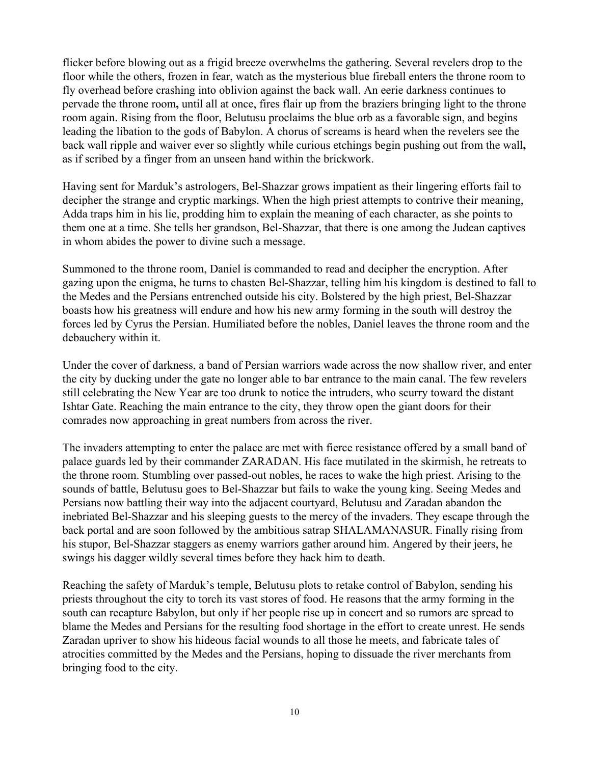flicker before blowing out as a frigid breeze overwhelms the gathering. Several revelers drop to the floor while the others, frozen in fear, watch as the mysterious blue fireball enters the throne room to fly overhead before crashing into oblivion against the back wall. An eerie darkness continues to pervade the throne room**,** until all at once, fires flair up from the braziers bringing light to the throne room again. Rising from the floor, Belutusu proclaims the blue orb as a favorable sign, and begins leading the libation to the gods of Babylon. A chorus of screams is heard when the revelers see the back wall ripple and waiver ever so slightly while curious etchings begin pushing out from the wall**,** as if scribed by a finger from an unseen hand within the brickwork.

Having sent for Marduk's astrologers, Bel-Shazzar grows impatient as their lingering efforts fail to decipher the strange and cryptic markings. When the high priest attempts to contrive their meaning, Adda traps him in his lie, prodding him to explain the meaning of each character, as she points to them one at a time. She tells her grandson, Bel-Shazzar, that there is one among the Judean captives in whom abides the power to divine such a message.

Summoned to the throne room, Daniel is commanded to read and decipher the encryption. After gazing upon the enigma, he turns to chasten Bel-Shazzar, telling him his kingdom is destined to fall to the Medes and the Persians entrenched outside his city. Bolstered by the high priest, Bel-Shazzar boasts how his greatness will endure and how his new army forming in the south will destroy the forces led by Cyrus the Persian. Humiliated before the nobles, Daniel leaves the throne room and the debauchery within it.

Under the cover of darkness, a band of Persian warriors wade across the now shallow river, and enter the city by ducking under the gate no longer able to bar entrance to the main canal. The few revelers still celebrating the New Year are too drunk to notice the intruders, who scurry toward the distant Ishtar Gate. Reaching the main entrance to the city, they throw open the giant doors for their comrades now approaching in great numbers from across the river.

The invaders attempting to enter the palace are met with fierce resistance offered by a small band of palace guards led by their commander ZARADAN. His face mutilated in the skirmish, he retreats to the throne room. Stumbling over passed-out nobles, he races to wake the high priest. Arising to the sounds of battle, Belutusu goes to Bel-Shazzar but fails to wake the young king. Seeing Medes and Persians now battling their way into the adjacent courtyard, Belutusu and Zaradan abandon the inebriated Bel-Shazzar and his sleeping guests to the mercy of the invaders. They escape through the back portal and are soon followed by the ambitious satrap SHALAMANASUR. Finally rising from his stupor, Bel-Shazzar staggers as enemy warriors gather around him. Angered by their jeers, he swings his dagger wildly several times before they hack him to death.

Reaching the safety of Marduk's temple, Belutusu plots to retake control of Babylon, sending his priests throughout the city to torch its vast stores of food. He reasons that the army forming in the south can recapture Babylon, but only if her people rise up in concert and so rumors are spread to blame the Medes and Persians for the resulting food shortage in the effort to create unrest. He sends Zaradan upriver to show his hideous facial wounds to all those he meets, and fabricate tales of atrocities committed by the Medes and the Persians, hoping to dissuade the river merchants from bringing food to the city.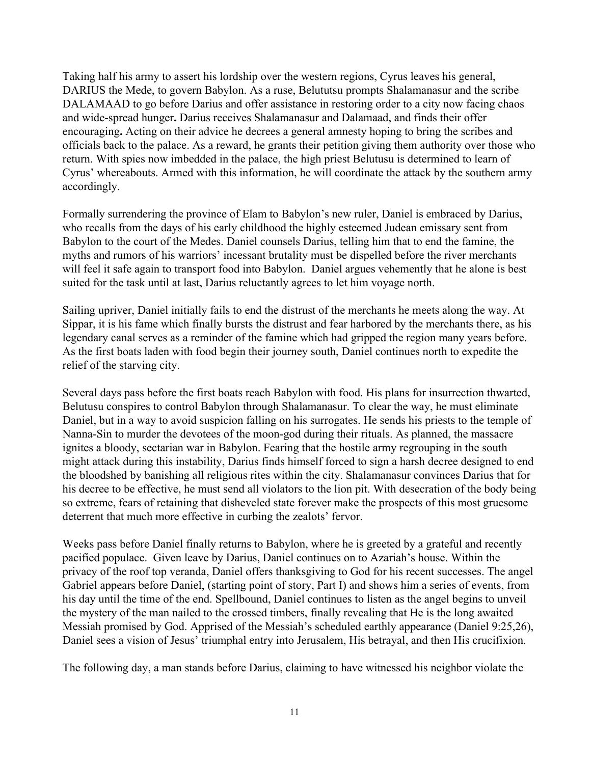Taking half his army to assert his lordship over the western regions, Cyrus leaves his general, DARIUS the Mede, to govern Babylon. As a ruse, Belututsu prompts Shalamanasur and the scribe DALAMAAD to go before Darius and offer assistance in restoring order to a city now facing chaos and wide-spread hunger**.** Darius receives Shalamanasur and Dalamaad, and finds their offer encouraging**.** Acting on their advice he decrees a general amnesty hoping to bring the scribes and officials back to the palace. As a reward, he grants their petition giving them authority over those who return. With spies now imbedded in the palace, the high priest Belutusu is determined to learn of Cyrus' whereabouts. Armed with this information, he will coordinate the attack by the southern army accordingly.

Formally surrendering the province of Elam to Babylon's new ruler, Daniel is embraced by Darius, who recalls from the days of his early childhood the highly esteemed Judean emissary sent from Babylon to the court of the Medes. Daniel counsels Darius, telling him that to end the famine, the myths and rumors of his warriors' incessant brutality must be dispelled before the river merchants will feel it safe again to transport food into Babylon. Daniel argues vehemently that he alone is best suited for the task until at last, Darius reluctantly agrees to let him voyage north.

Sailing upriver, Daniel initially fails to end the distrust of the merchants he meets along the way. At Sippar, it is his fame which finally bursts the distrust and fear harbored by the merchants there, as his legendary canal serves as a reminder of the famine which had gripped the region many years before. As the first boats laden with food begin their journey south, Daniel continues north to expedite the relief of the starving city.

Several days pass before the first boats reach Babylon with food. His plans for insurrection thwarted, Belutusu conspires to control Babylon through Shalamanasur. To clear the way, he must eliminate Daniel, but in a way to avoid suspicion falling on his surrogates. He sends his priests to the temple of Nanna-Sin to murder the devotees of the moon-god during their rituals. As planned, the massacre ignites a bloody, sectarian war in Babylon. Fearing that the hostile army regrouping in the south might attack during this instability, Darius finds himself forced to sign a harsh decree designed to end the bloodshed by banishing all religious rites within the city. Shalamanasur convinces Darius that for his decree to be effective, he must send all violators to the lion pit. With desecration of the body being so extreme, fears of retaining that disheveled state forever make the prospects of this most gruesome deterrent that much more effective in curbing the zealots' fervor.

Weeks pass before Daniel finally returns to Babylon, where he is greeted by a grateful and recently pacified populace. Given leave by Darius, Daniel continues on to Azariah's house. Within the privacy of the roof top veranda, Daniel offers thanksgiving to God for his recent successes. The angel Gabriel appears before Daniel, (starting point of story, Part I) and shows him a series of events, from his day until the time of the end. Spellbound, Daniel continues to listen as the angel begins to unveil the mystery of the man nailed to the crossed timbers, finally revealing that He is the long awaited Messiah promised by God. Apprised of the Messiah's scheduled earthly appearance (Daniel 9:25,26), Daniel sees a vision of Jesus' triumphal entry into Jerusalem, His betrayal, and then His crucifixion.

The following day, a man stands before Darius, claiming to have witnessed his neighbor violate the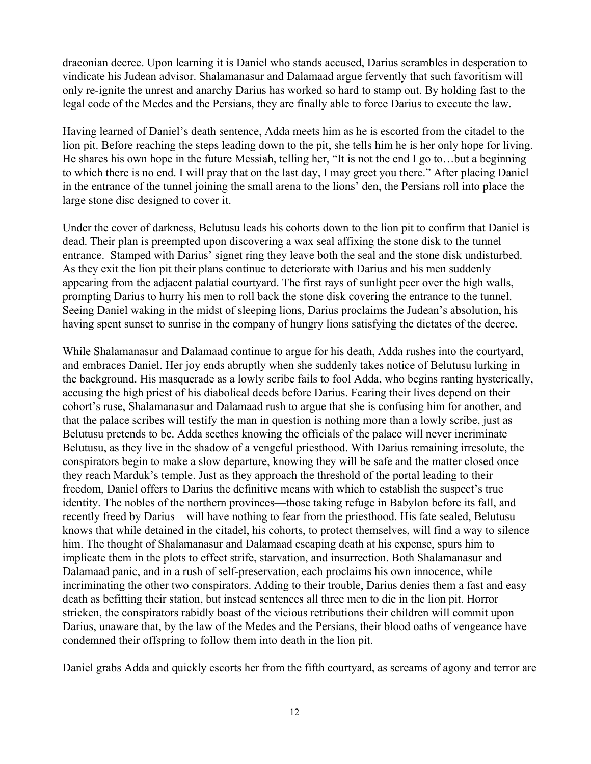draconian decree. Upon learning it is Daniel who stands accused, Darius scrambles in desperation to vindicate his Judean advisor. Shalamanasur and Dalamaad argue fervently that such favoritism will only re-ignite the unrest and anarchy Darius has worked so hard to stamp out. By holding fast to the legal code of the Medes and the Persians, they are finally able to force Darius to execute the law.

Having learned of Daniel's death sentence, Adda meets him as he is escorted from the citadel to the lion pit. Before reaching the steps leading down to the pit, she tells him he is her only hope for living. He shares his own hope in the future Messiah, telling her, "It is not the end I go to…but a beginning to which there is no end. I will pray that on the last day, I may greet you there." After placing Daniel in the entrance of the tunnel joining the small arena to the lions' den, the Persians roll into place the large stone disc designed to cover it.

Under the cover of darkness, Belutusu leads his cohorts down to the lion pit to confirm that Daniel is dead. Their plan is preempted upon discovering a wax seal affixing the stone disk to the tunnel entrance. Stamped with Darius' signet ring they leave both the seal and the stone disk undisturbed. As they exit the lion pit their plans continue to deteriorate with Darius and his men suddenly appearing from the adjacent palatial courtyard. The first rays of sunlight peer over the high walls, prompting Darius to hurry his men to roll back the stone disk covering the entrance to the tunnel. Seeing Daniel waking in the midst of sleeping lions, Darius proclaims the Judean's absolution, his having spent sunset to sunrise in the company of hungry lions satisfying the dictates of the decree.

While Shalamanasur and Dalamaad continue to argue for his death, Adda rushes into the courtyard, and embraces Daniel. Her joy ends abruptly when she suddenly takes notice of Belutusu lurking in the background. His masquerade as a lowly scribe fails to fool Adda, who begins ranting hysterically, accusing the high priest of his diabolical deeds before Darius. Fearing their lives depend on their cohort's ruse, Shalamanasur and Dalamaad rush to argue that she is confusing him for another, and that the palace scribes will testify the man in question is nothing more than a lowly scribe, just as Belutusu pretends to be. Adda seethes knowing the officials of the palace will never incriminate Belutusu, as they live in the shadow of a vengeful priesthood. With Darius remaining irresolute, the conspirators begin to make a slow departure, knowing they will be safe and the matter closed once they reach Marduk's temple. Just as they approach the threshold of the portal leading to their freedom, Daniel offers to Darius the definitive means with which to establish the suspect's true identity. The nobles of the northern provinces—those taking refuge in Babylon before its fall, and recently freed by Darius—will have nothing to fear from the priesthood. His fate sealed, Belutusu knows that while detained in the citadel, his cohorts, to protect themselves, will find a way to silence him. The thought of Shalamanasur and Dalamaad escaping death at his expense, spurs him to implicate them in the plots to effect strife, starvation, and insurrection. Both Shalamanasur and Dalamaad panic, and in a rush of self-preservation, each proclaims his own innocence, while incriminating the other two conspirators. Adding to their trouble, Darius denies them a fast and easy death as befitting their station, but instead sentences all three men to die in the lion pit. Horror stricken, the conspirators rabidly boast of the vicious retributions their children will commit upon Darius, unaware that, by the law of the Medes and the Persians, their blood oaths of vengeance have condemned their offspring to follow them into death in the lion pit.

Daniel grabs Adda and quickly escorts her from the fifth courtyard, as screams of agony and terror are